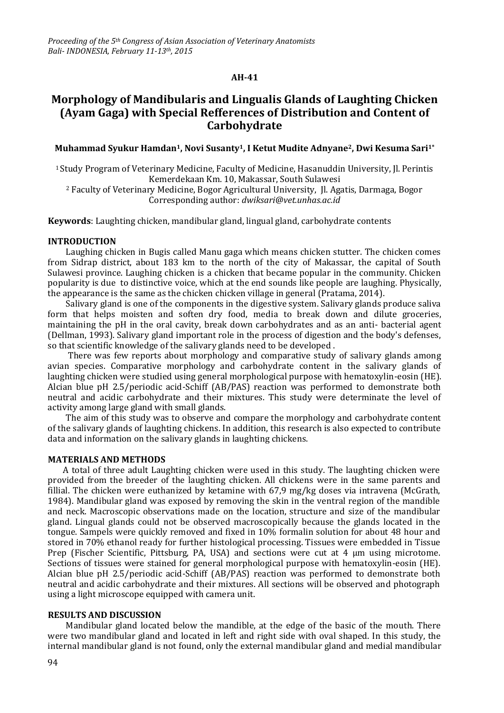# **AH-41**

# **Morphology of Mandibularis and Lingualis Glands of Laughting Chicken (Ayam Gaga) with Special Refferences of Distribution and Content of Carbohydrate**

**Muhammad Syukur Hamdan1, Novi Susanty1, I Ketut Mudite Adnyane2, Dwi Kesuma Sari1\***

<sup>1</sup> Study Program of Veterinary Medicine, Faculty of Medicine, Hasanuddin University, Jl. Perintis Kemerdekaan Km. 10, Makassar, South Sulawesi

<sup>2</sup> Faculty of Veterinary Medicine, Bogor Agricultural University, Jl. Agatis, Darmaga, Bogor Corresponding author: *[dwiksari@vet.unhas.ac.id](mailto:dwiksari@vet.unhas.ac.id)*

**Keywords**: Laughting chicken, mandibular gland, lingual gland, carbohydrate contents

#### **INTRODUCTION**

Laughing chicken in Bugis called Manu gaga which means chicken stutter. The chicken comes from Sidrap district, about 183 km to the north of the city of Makassar, the capital of South Sulawesi province. Laughing chicken is a chicken that became popular in the community. Chicken popularity is due to distinctive voice, which at the end sounds like people are laughing. Physically, the appearance is the same as the chicken chicken village in general (Pratama, 2014).

Salivary gland is one of the components in the digestive system. Salivary glands produce saliva form that helps moisten and soften dry food, media to break down and dilute groceries, maintaining the pH in the oral cavity, break down carbohydrates and as an anti- bacterial agent (Dellman, 1993). Salivary gland important role in the process of digestion and the body's defenses, so that scientific knowledge of the salivary glands need to be developed .

There was few reports about morphology and comparative study of salivary glands among avian species. Comparative morphology and carbohydrate content in the salivary glands of laughting chicken were studied using general morphological purpose with hematoxylin-eosin (HE). Alcian blue pH 2.5/periodic acid-Schiff (AB/PAS) reaction was performed to demonstrate both neutral and acidic carbohydrate and their mixtures. This study were determinate the level of activity among large gland with small glands.

The aim of this study was to observe and compare the morphology and carbohydrate content of the salivary glands of laughting chickens. In addition, this research is also expected to contribute data and information on the salivary glands in laughting chickens.

### **MATERIALS AND METHODS**

A total of three adult Laughting chicken were used in this study. The laughting chicken were provided from the breeder of the laughting chicken. All chickens were in the same parents and fillial. The chicken were euthanized by ketamine with 67,9 mg/kg doses via intravena (McGrath, 1984). Mandibular gland was exposed by removing the skin in the ventral region of the mandible and neck. Macroscopic observations made on the location, structure and size of the mandibular gland. Lingual glands could not be observed macroscopically because the glands located in the tongue. Sampels were quickly removed and fixed in 10% formalin solution for about 48 hour and stored in 70% ethanol ready for further histological processing. Tissues were embedded in Tissue Prep (Fischer Scientific, Pittsburg, PA, USA) and sections were cut at 4 µm using microtome. Sections of tissues were stained for general morphological purpose with hematoxylin-eosin (HE). Alcian blue pH 2.5/periodic acid-Schiff (AB/PAS) reaction was performed to demonstrate both neutral and acidic carbohydrate and their mixtures. All sections will be observed and photograph using a light microscope equipped with camera unit.

#### **RESULTS AND DISCUSSION**

Mandibular gland located below the mandible, at the edge of the basic of the mouth. There were two mandibular gland and located in left and right side with oval shaped. In this study, the internal mandibular gland is not found, only the external mandibular gland and medial mandibular